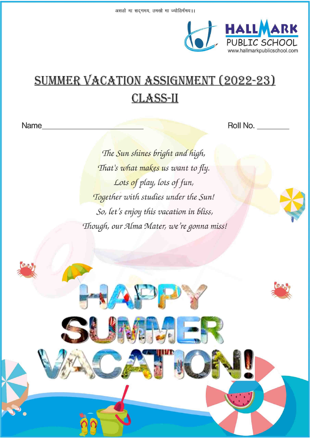

# **SUMMER VACATION ASSIGNMENT (2022-23) CLASS-II**

Name

Roll No.

The Sun shines bright and high, That's what makes us want to fly. Lots of play, lots of fun, Together with studies under the Sun! So, let's enjoy this vacation in bliss, Though, our Alma Mater, we're gonna miss!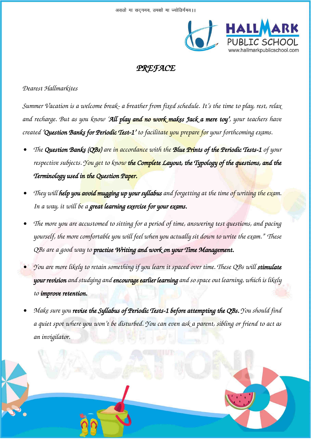

## *PREFACE*

## *Dearest Hallmarkites*

*Summer Vacation is a welcome break- a breather from fixed schedule. It's the time to play, rest, relax and recharge. But as you know 'All play and no work makes Jack a mere toy', your teachers have created 'Question Banks for Periodic Test-1' to facilitate you prepare for your forthcoming exams.* 

- *• The Question Banks (QBs) are in accordance with the Blue Prints of the Periodic Tests-1 of your respective subjects. You get to know the Complete Layout, the Typology of the questions, and the Terminology used in the Question Paper.*
- *• They will help you avoid mugging up your syllabus and forgetting at the time of writing the exam. In a way, it will be a great learning exercise for your exams.*
- *• The more you are accustomed to sitting for a period of time, answering test questions, and pacing yourself, the more comfortable you will feel when you actually sit down to write the exam." These QBs are a good way to practise Writing and work on your Time Management.*
- *• You are more likely to retain something if you learn it spaced over time. These QBs will stimulate your revision and studying and encourage earlier learning and so space out learning, which is likely to improve retention.*
- *• Make sure you revise the Syllabus of Periodic Tests-1 before attempting the QBs. You should find a quiet spot where you won't be disturbed. You can even ask a parent, sibling or friend to act as an invigilator.*

CLASS – II (PAGE 2 OF 38)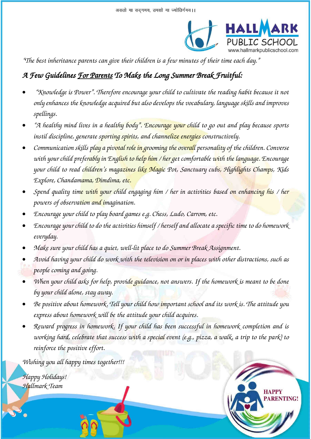

**RENTING!** 

*"The best inheritance parents can give their children is a few minutes of their time each day."*

## *A Few Guidelines For Parents To Make the Long Summer Break Fruitful:*

- *"Knowledge is Power". Therefore encourage your child to cultivate the reading habit because it not only enhances the knowledge acquired but also develops the vocabulary, language skills and improves spellings.*
- *"A healthy mind lives in a healthy body". Encourage your child to go out and play because sports instil discipline, generate sporting spirits, and channelize energies constructively.*
- *Communication skills play a pivotal role in grooming the overall personality of the children. Converse with your child preferably in English to help him / her get comfortable with the language. Encourage your child to read children's magazines like Magic Pot, Sanctuary cubs, Highlights Champs, Kids Explore, Chandamama, Dimdima, etc.*
- *Spend quality time with your child engaging him / her in activities based on enhancing his / her powers of observation and imagination.*
- *Encourage your child to play board games e.g. Chess, Ludo, Carrom, etc.*
- *Encourage your child to do the activities himself / herself and allocate a specific time to do homework everyday.*
- *Make sure your child has a quiet, well-lit place to do Summer Break Assignment.*
- *Avoid having your child do work with the television on or in places with other distractions, such as people coming and going.*
- *When your child asks for help, provide guidance, not answers. If the homework is meant to be done by your child alone, stay away.*
- *Be positive about homework. Tell your child how important school and its work is. The attitude you express about homework will be the attitude your child acquires.*
- *Reward progress in homework. If your child has been successful in homework completion and is working hard, celebrate that success with a special event (e.g., pizza, a walk, a trip to the park) to reinforce the positive effort.*

CLASS – II (PAGE 3 OF 38)

*Wishing you all happy times together!!!* 

*Happy Holidays! Hallmark Team*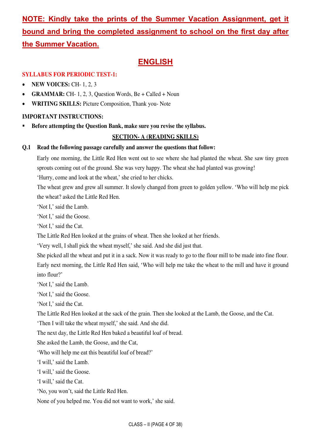## **NOTE: Kindly take the prints of the Summer Vacation Assignment, get it bound and bring the completed assignment to school on the first day after the Summer Vacation.**

## **ENGLISH**

## **SYLLABUS FOR PERIODIC TEST-1:**

- **NEW VOICES: CH- 1, 2, 3**
- **GRAMMAR:** CH- 1, 2, 3, Question Words, Be + Called + Noun
- **WRITING SKILLS:** Picture Composition, Thank you- Note

## **IMPORTANT INSTRUCTIONS:**

**Before attempting the Question Bank, make sure you revise the syllabus.** 

## **SECTION- A (READING SKILLS)**

### **Q.1 Read the following passage carefully and answer the questions that follow:**

 Early one morning, the Little Red Hen went out to see where she had planted the wheat. She saw tiny green sprouts coming out of the ground. She was very happy. The wheat she had planted was growing!

'Hurry, come and look at the wheat,' she cried to her chicks.

The wheat grew and grew all summer. It slowly changed from green to golden yellow. 'Who will help me pick the wheat? asked the Little Red Hen.

'Not I,' said the Lamb.

'Not I,' said the Goose.

'Not I,' said the Cat.

The Little Red Hen looked at the grains of wheat. Then she looked at her friends.

'Very well, I shall pick the wheat myself,' she said. And she did just that.

 She picked all the wheat and put it in a sack. Now it was ready to go to the flour mill to be made into fine flour. Early next morning, the Little Red Hen said, 'Who will help me take the wheat to the mill and have it ground into flour?'

'Not I,' said the Lamb.

'Not I,' said the Goose.

'Not I,' said the Cat.

The Little Red Hen looked at the sack of the grain. Then she looked at the Lamb, the Goose, and the Cat.

'Then I will take the wheat myself,' she said. And she did.

The next day, the Little Red Hen baked a beautiful loaf of bread.

She asked the Lamb, the Goose, and the Cat,

'Who will help me eat this beautiful loaf of bread?'

'I will,' said the Lamb.

'I will,' said the Goose.

'I will,' said the Cat.

'No, you won't, said the Little Red Hen.

None of you helped me. You did not want to work,' she said.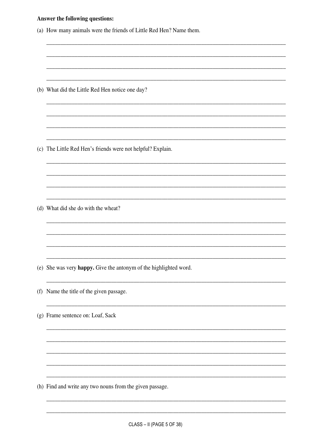|  |  |  | <b>Answer the following questions:</b> |  |
|--|--|--|----------------------------------------|--|
|--|--|--|----------------------------------------|--|

|     | (a) How many animals were the friends of Little Red Hen? Name them. |
|-----|---------------------------------------------------------------------|
|     |                                                                     |
|     |                                                                     |
|     | (b) What did the Little Red Hen notice one day?                     |
|     |                                                                     |
|     |                                                                     |
|     | (c) The Little Red Hen's friends were not helpful? Explain.         |
|     |                                                                     |
|     |                                                                     |
|     | (d) What did she do with the wheat?                                 |
|     |                                                                     |
|     |                                                                     |
|     | (e) She was very happy. Give the antonym of the highlighted word.   |
| (f) | Name the title of the given passage.                                |
|     | (g) Frame sentence on: Loaf, Sack                                   |
|     |                                                                     |
|     |                                                                     |
|     |                                                                     |
|     | (h) Find and write any two nouns from the given passage.            |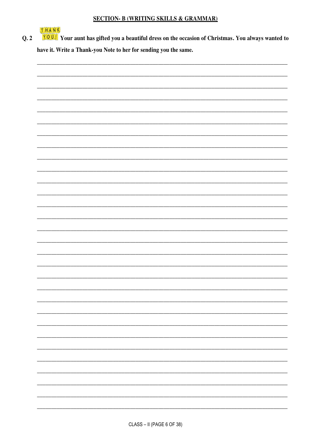## **SECTION- B (WRITING SKILLS & GRAMMAR)**

THANK You'll Your aunt has gifted you a beautiful dress on the occasion of Christmas. You always wanted to  $Q.2$ have it. Write a Thank-you Note to her for sending you the same.

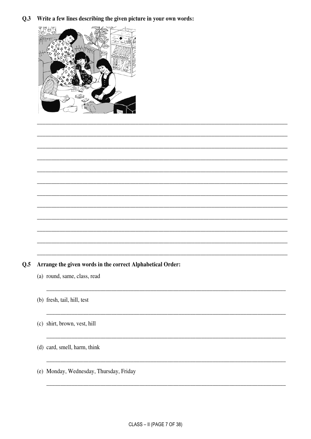Q.3 Write a few lines describing the given picture in your own words:



#### Arrange the given words in the correct Alphabetical Order:  $Q.5$

- (a) round, same, class, read
- (b) fresh, tail, hill, test
- (c) shirt, brown, vest, hill
- (d) card, smell, harm, think
- (e) Monday, Wednesday, Thursday, Friday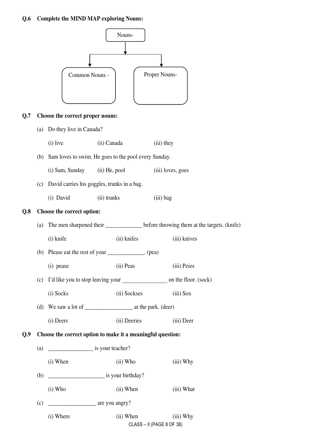#### **Q.6 Complete the MIND MAP exploring Nouns:**

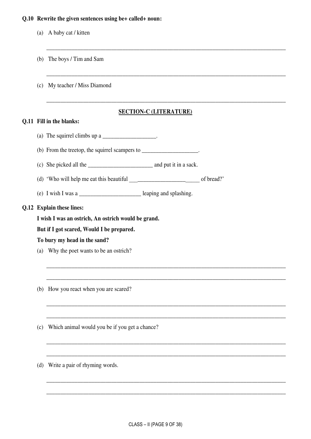#### **Q.10 Rewrite the given sentences using be+ called+ noun:**

- (a) A baby cat / kitten
- (b) The boys / Tim and Sam
- (c) My teacher / Miss Diamond

## **SECTION-C (LITERATURE)**

\_\_\_\_\_\_\_\_\_\_\_\_\_\_\_\_\_\_\_\_\_\_\_\_\_\_\_\_\_\_\_\_\_\_\_\_\_\_\_\_\_\_\_\_\_\_\_\_\_\_\_\_\_\_\_\_\_\_\_\_\_\_\_\_\_\_\_\_\_\_\_\_\_\_\_\_\_\_\_\_\_\_\_\_\_

\_\_\_\_\_\_\_\_\_\_\_\_\_\_\_\_\_\_\_\_\_\_\_\_\_\_\_\_\_\_\_\_\_\_\_\_\_\_\_\_\_\_\_\_\_\_\_\_\_\_\_\_\_\_\_\_\_\_\_\_\_\_\_\_\_\_\_\_\_\_\_\_\_\_\_\_\_\_\_\_\_\_\_\_\_

\_\_\_\_\_\_\_\_\_\_\_\_\_\_\_\_\_\_\_\_\_\_\_\_\_\_\_\_\_\_\_\_\_\_\_\_\_\_\_\_\_\_\_\_\_\_\_\_\_\_\_\_\_\_\_\_\_\_\_\_\_\_\_\_\_\_\_\_\_\_\_\_\_\_\_\_\_\_\_\_\_\_\_\_\_

\_\_\_\_\_\_\_\_\_\_\_\_\_\_\_\_\_\_\_\_\_\_\_\_\_\_\_\_\_\_\_\_\_\_\_\_\_\_\_\_\_\_\_\_\_\_\_\_\_\_\_\_\_\_\_\_\_\_\_\_\_\_\_\_\_\_\_\_\_\_\_\_\_\_\_\_\_\_\_\_\_\_\_\_\_

\_\_\_\_\_\_\_\_\_\_\_\_\_\_\_\_\_\_\_\_\_\_\_\_\_\_\_\_\_\_\_\_\_\_\_\_\_\_\_\_\_\_\_\_\_\_\_\_\_\_\_\_\_\_\_\_\_\_\_\_\_\_\_\_\_\_\_\_\_\_\_\_\_\_\_\_\_\_\_\_\_\_\_\_\_

\_\_\_\_\_\_\_\_\_\_\_\_\_\_\_\_\_\_\_\_\_\_\_\_\_\_\_\_\_\_\_\_\_\_\_\_\_\_\_\_\_\_\_\_\_\_\_\_\_\_\_\_\_\_\_\_\_\_\_\_\_\_\_\_\_\_\_\_\_\_\_\_\_\_\_\_\_\_\_\_\_\_\_\_\_

\_\_\_\_\_\_\_\_\_\_\_\_\_\_\_\_\_\_\_\_\_\_\_\_\_\_\_\_\_\_\_\_\_\_\_\_\_\_\_\_\_\_\_\_\_\_\_\_\_\_\_\_\_\_\_\_\_\_\_\_\_\_\_\_\_\_\_\_\_\_\_\_\_\_\_\_\_\_\_\_\_\_\_\_\_

\_\_\_\_\_\_\_\_\_\_\_\_\_\_\_\_\_\_\_\_\_\_\_\_\_\_\_\_\_\_\_\_\_\_\_\_\_\_\_\_\_\_\_\_\_\_\_\_\_\_\_\_\_\_\_\_\_\_\_\_\_\_\_\_\_\_\_\_\_\_\_\_\_\_\_\_\_\_\_\_\_\_\_\_\_

\_\_\_\_\_\_\_\_\_\_\_\_\_\_\_\_\_\_\_\_\_\_\_\_\_\_\_\_\_\_\_\_\_\_\_\_\_\_\_\_\_\_\_\_\_\_\_\_\_\_\_\_\_\_\_\_\_\_\_\_\_\_\_\_\_\_\_\_\_\_\_\_\_\_\_\_\_\_\_\_\_\_\_\_\_

\_\_\_\_\_\_\_\_\_\_\_\_\_\_\_\_\_\_\_\_\_\_\_\_\_\_\_\_\_\_\_\_\_\_\_\_\_\_\_\_\_\_\_\_\_\_\_\_\_\_\_\_\_\_\_\_\_\_\_\_\_\_\_\_\_\_\_\_\_\_\_\_\_\_\_\_\_\_\_\_\_\_\_\_\_

\_\_\_\_\_\_\_\_\_\_\_\_\_\_\_\_\_\_\_\_\_\_\_\_\_\_\_\_\_\_\_\_\_\_\_\_\_\_\_\_\_\_\_\_\_\_\_\_\_\_\_\_\_\_\_\_\_\_\_\_\_\_\_\_\_\_\_\_\_\_\_\_\_\_\_\_\_\_\_\_\_\_\_\_\_

#### **Q.11 Fill in the blanks:**

- (a) The squirrel climbs up a  $\blacksquare$
- (b) From the treetop, the squirrel scampers to \_\_\_\_\_\_\_\_\_\_\_\_\_\_\_\_\_\_\_\_\_\_.
- (c) She picked all the \_\_\_\_\_\_\_\_\_\_\_\_\_\_\_\_\_\_\_\_\_\_\_ and put it in a sack.
- (d) 'Who will help me eat this beautiful \_\_\_\_\_\_\_\_\_\_\_\_\_\_\_\_\_\_\_\_\_\_\_ of bread?'
- (e) I wish I was a \_\_\_\_\_\_\_\_\_\_\_\_\_\_\_\_\_\_\_\_\_\_ leaping and splashing.

### **Q.12 Explain these lines:**

**I wish I was an ostrich, An ostrich would be grand.** 

#### **But if I got scared, Would I be prepared.**

#### **To bury my head in the sand?**

- (a)Why the poet wants to be an ostrich?
- (b) How you react when you are scared?
- (c) Which animal would you be if you get a chance?
- (d) Write a pair of rhyming words.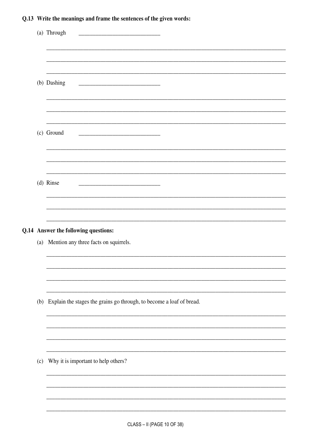## Q.13 Write the meanings and frame the sentences of the given words:

|     | (a) Through<br><u> 1989 - Johann Stoff, Amerikaansk politiker (</u>      |
|-----|--------------------------------------------------------------------------|
|     |                                                                          |
|     |                                                                          |
|     | (b) Dashing                                                              |
|     |                                                                          |
|     |                                                                          |
|     | (c) Ground                                                               |
|     |                                                                          |
|     |                                                                          |
|     | (d) Rinse                                                                |
|     |                                                                          |
|     |                                                                          |
|     | Q.14 Answer the following questions:                                     |
|     | (a) Mention any three facts on squirrels.                                |
|     |                                                                          |
|     |                                                                          |
|     |                                                                          |
|     | (b) Explain the stages the grains go through, to become a loaf of bread. |
|     |                                                                          |
|     |                                                                          |
|     |                                                                          |
| (c) | Why it is important to help others?                                      |
|     |                                                                          |
|     |                                                                          |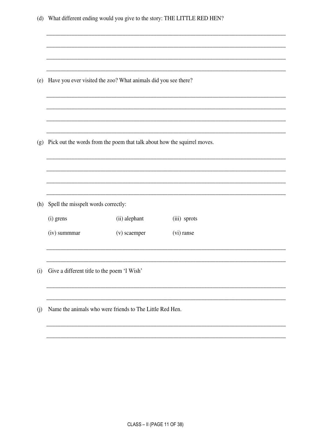| (d) |                                             |                                                                          | What different ending would you give to the story: THE LITTLE RED HEN? |  |
|-----|---------------------------------------------|--------------------------------------------------------------------------|------------------------------------------------------------------------|--|
|     |                                             |                                                                          |                                                                        |  |
|     |                                             |                                                                          |                                                                        |  |
|     |                                             |                                                                          |                                                                        |  |
| (e) |                                             | Have you ever visited the zoo? What animals did you see there?           |                                                                        |  |
|     |                                             |                                                                          |                                                                        |  |
|     |                                             |                                                                          |                                                                        |  |
|     |                                             |                                                                          |                                                                        |  |
| (g) |                                             | Pick out the words from the poem that talk about how the squirrel moves. |                                                                        |  |
|     |                                             |                                                                          |                                                                        |  |
|     |                                             |                                                                          |                                                                        |  |
|     |                                             |                                                                          |                                                                        |  |
| (h) | Spell the misspelt words correctly:         |                                                                          |                                                                        |  |
|     | (i) grens                                   | (ii) alephant                                                            | (iii) sprots                                                           |  |
|     | (iv) summmar                                | (v) scaemper                                                             | (vi) ranse                                                             |  |
|     |                                             |                                                                          |                                                                        |  |
| (i) | Give a different title to the poem 'I Wish' |                                                                          |                                                                        |  |
|     |                                             |                                                                          |                                                                        |  |
| (j) |                                             | Name the animals who were friends to The Little Red Hen.                 |                                                                        |  |
|     |                                             |                                                                          |                                                                        |  |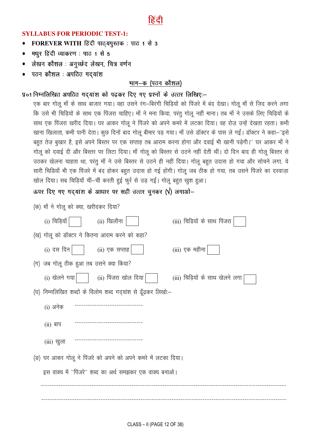

## **SYLLABUS FOR PERIODIC TEST-1:**

- FOREVER WITH हिंदी पाठयपुस्तक: पाठ 1 से 3  $\bullet$
- मधुर हिंदी व्याकरण : पाठ 1 से 5  $\bullet$
- लेखन कौशल : अनुच्छेद लेखन, चित्र वर्णन
- पठन कौशल : अपठित गद्यांश

## भाग-क (पठन कौशल)

## प्र०1 निम्नलिखित अपठित गदयांश को पढकर दिए गए प्रश्नों के उत्तर लिखिए:-

एक बार गोलू माँ के साथ बाज़ार गया। वहा उसने रंग-बिरंगी चिड़ियों को पिंजरे में बंद देखा। गोलू माँ से ज़िद करने लगा कि उसे भी चिड़ियों के साथ एक पिंजरा चाहिए। माँ ने मना किया, परंतु गोलू नहीं माना। तब माँ ने उसके लिए चिड़ियों के साथ एक पिंजरा खरीद दिया। घर आकर गोलू ने पिंजरे को अपने कमरे में लटका दिया। वह रोज उन्हें देखता रहता। कभी खाना खिलाता, कभी पानी देता। कुछ दिनों बाद गोलू बीमार पड़ गया। माँ उसे डॉक्टर के पास ले गईं। डॉक्टर ने कहा–''इसे बहुत तेज़ बुखार है, इसे अपने बिस्तर पर एक सप्ताह तब आराम करना होगा और दवाई भी खानी पड़ेगी।'' घर आकर माँ ने गोलू को दवाई दी और बिस्तर पर लिटा दिया। माँ गोलू को बिस्तर से उठने नहीं देती थीं। दो दिन बाद ही गोलू बिस्तर से उठकर खेलना चाहता था, परंतु माँ ने उसे बिस्तर से उठने ही नहीं दिया। गोलू बहुत उदास हो गया और सोचने लगा, ये सारी चिडियाँ भी एक पिंजरे में बंद होकर बहुत उदास हो गई होंगी। गोलू जब ठीक हो गया, तब उसने पिंजरे का दरवाज़ा खोल दिया। सब चिड़ियाँ चीं-चीं करती हुई फुर्र से उड़ गईं। गोलू बहुत खुश हुआ।

ऊपर दिए गए गदयांश के आधार पर सही उत्तर चुनकर ( $\sqrt{ }$ ) लगाओ-

| (क) माँ ने गोलू को क्या, खरीदकर दिया?  |                                                               |                                 |
|----------------------------------------|---------------------------------------------------------------|---------------------------------|
| (i) चिड़ियाँ                           | (ii) खिलौना                                                   | (iii) चिड़ियों के साथ पिंजरा    |
|                                        | (ख) गोलू को डॉक्टर ने कितना आराम करने को कहा?                 |                                 |
| (i) दस दिन                             | (ii) एक सप्ताह                                                | (iii) एक महीना                  |
| (ग) जब गोलू ठीक हुआ तब उसने क्या किया? |                                                               |                                 |
| (i) खेलने गया                          | (ii) पिंजरा खोल दिया                                          | (iii) चिड़ियों के साथ खेलने लगा |
|                                        | (घ) निम्नलिखित शब्दों के विलोम शब्द गद्यांश से ढूँढ़कर लिखो:- |                                 |
| (i) अनेक                               |                                                               |                                 |
| $(ii)$ बाप                             |                                                               |                                 |
| (iii) खुला                             |                                                               |                                 |
|                                        | (ङ) घर आकर गोलू ने पिंजरे को अपने को अपने कमरे में लटका दिया। |                                 |
|                                        | इस वाक्य में ''पिंजरे'' शब्द का अर्थ समझकर एक वाक्य बनाओ।     |                                 |
|                                        |                                                               |                                 |
|                                        |                                                               |                                 |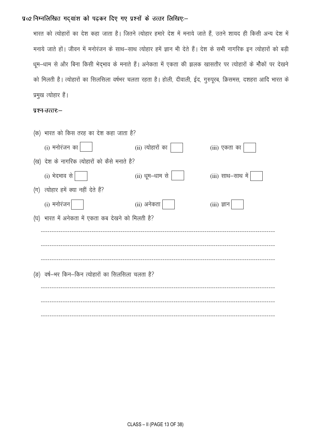प्र०2 निम्नलिखित गद्यांश को पढ़कर दिए गए प्रश्नों के उत्तर लिखिए:-

भारत को त्योहारों का देश कहा जाता है। जितने त्योहार हमारे देश में मनाये जाते हैं, उतने शायद ही किसी अन्य देश में मनाये जाते हों। जीवन में मनोरंजन के साथ—साथ त्योहार हमें ज्ञान भी देते हैं। देश के सभी नागरिक इन त्योहारों को बड़ी धूम-धाम से और बिना किसी भेद्भाव के मनाते हैं। अनेकता में एकता की झलक खासतौर पर त्योहारों के मौकों पर देखने को मिलती है। त्योहारों का सिलसिला वर्षभर चलता रहता है। होली, दीवाली, ईद, गुरुपूरब, क्रिसमस, दशहरा आदि भारत के प्रमुख त्योहार हैं।

#### प्रश्न-उत्तर:-

| (क) भारत को किस तरह का देश कहा जाता है?            |                   |                     |
|----------------------------------------------------|-------------------|---------------------|
| (i) मनोरंजन का $\vert$                             | (ii) त्योहारों का | (iii) एकता का       |
| (ख) देश के नागरिक त्योहारों को कैसे मनाते है?      |                   |                     |
| (i) भेदभाव से                                      | (ii) धूम–धाम से   | $(iii)$ साथ–साथ में |
| (ग) त्योहार हमें क्या नहीं देते हैं?               |                   |                     |
| $(i)$ मनोरंजन                                      | (ii) अनेकता       | $(iii)$ ज्ञान       |
| (घ) भारत में अनेकता में एकता कब देखने को मिलती है? |                   |                     |
|                                                    |                   |                     |
|                                                    |                   |                     |
|                                                    |                   |                     |
| (ङ) वर्ष–भर किन–किन त्योहारों का सिलसिला चलता है?  |                   |                     |
|                                                    |                   |                     |
|                                                    |                   |                     |
|                                                    |                   |                     |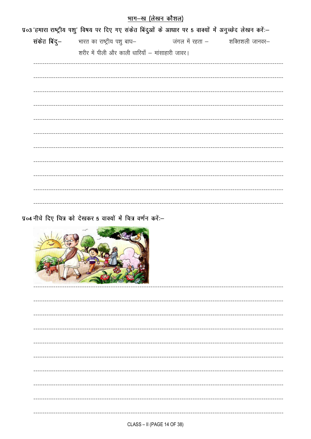|  | भाग—ख (लेखन कौशल)                                                                                    |                                         |  |
|--|------------------------------------------------------------------------------------------------------|-----------------------------------------|--|
|  | प्र०3 हमारा राष्ट्रीय पशु विषय पर दिए गए संकेत बिंदुओं के आधार पर 5 वाक्यों में अनुच्छेद लेखन करें:- |                                         |  |
|  | संकेत बिंदु- भारत का राष्ट्रीय पशु बाघ-                                                              | जंगल में रहता —         शक्तिशली जानवर— |  |
|  | शरीर में पीली और काली धारियाँ – मांसाहारी जावर।                                                      |                                         |  |
|  |                                                                                                      |                                         |  |
|  |                                                                                                      |                                         |  |
|  |                                                                                                      |                                         |  |
|  |                                                                                                      |                                         |  |
|  |                                                                                                      |                                         |  |
|  |                                                                                                      |                                         |  |
|  |                                                                                                      |                                         |  |
|  |                                                                                                      |                                         |  |
|  |                                                                                                      |                                         |  |
|  |                                                                                                      |                                         |  |
|  |                                                                                                      |                                         |  |
|  |                                                                                                      |                                         |  |
|  |                                                                                                      |                                         |  |

प्र०४ नीचे दिए चित्र को देखकर 5 वाक्यों में चित्र वर्णन करें:--

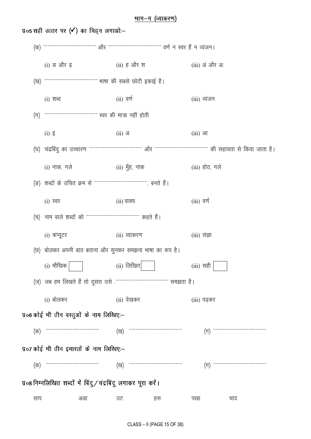#### <u>भाग-ग (व्याकरण)</u>

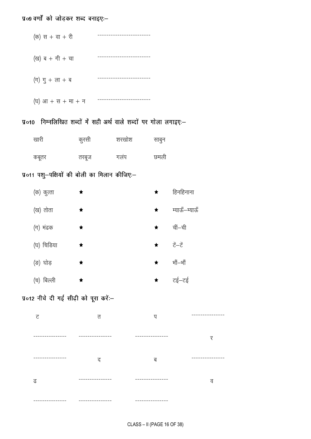## प्र०९ वर्णों को जोड़कर शब्द बनाइए:-

| (क) स + वा + री                 |  |
|---------------------------------|--|
| (ख) ब + गी + चा                 |  |
| $(\overline{\eta})$ गु + ला + ब |  |
| (घ) आ $+$ स $+$ मा $+$ न        |  |

प्र०10 निम्नलिखित शब्दों में सही अर्थ वाले शब्दों पर गोला लगाइएः-

| खारी  | कुरसी | शरखोश | साबुन |
|-------|-------|-------|-------|
| कबूतर | तरबूज | गलप   | छमली  |

## प्र०११ पशु—पक्षियों की बोली का मिलान कीजिए:—

| (क) कुत्ता    | ★ | ★          | हिनहिनाना     |
|---------------|---|------------|---------------|
| (ख) तोता      | ★ | $\bigstar$ | म्याऊँ–म्याऊँ |
| (ग) मंढक      | ★ | $\bigstar$ | चीं–ची        |
| (घ) चिडिया    | ★ | $\star$    | ਟੇਂ–ਟੇਂ       |
| (ङ) घोड़      | ★ | $\bigstar$ | भौं—भौं       |
| बिल्ली<br>(च) | ★ | $\bigstar$ | टई—टई         |

## प्र०12 नीचे दी गई सीढ़ी को पूरा करें:-

| ਟ     | त               | प               | ------------- |
|-------|-----------------|-----------------|---------------|
|       |                 |                 | र             |
|       | द               | ब               |               |
| ढ     | ---------       |                 | व             |
| ----- | --------------- | --------------- |               |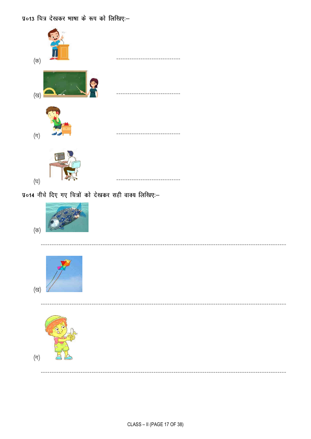प्र०13 चित्र देखकर भाषा के रूप को लिखिए:--

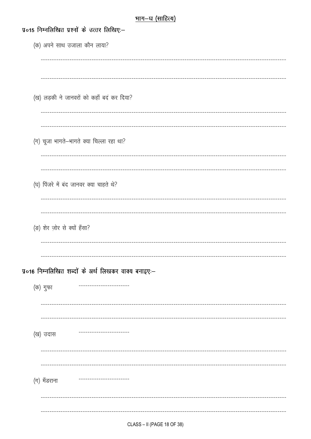| भाग–घ (साहित्य)                                      |
|------------------------------------------------------|
| प्र०15 निम्नलिखित प्रश्नों के उत्तर लिखिए:-          |
| (क) अपने साथ उजाला कौन लाया?                         |
|                                                      |
|                                                      |
|                                                      |
| (ख) लड़की ने जानवरों को कहाँ बद कर दिया?             |
|                                                      |
|                                                      |
|                                                      |
| (ग) चूजा भागते-भागते क्या चिल्ला रहा था?             |
|                                                      |
| --------------------------------------               |
| (घ) पिंजरे में बंद जानवर क्या चाहते थे?              |
|                                                      |
| --------------------------------                     |
| (ङ) शेर ज़ोर से क्यों हँसा?                          |
|                                                      |
|                                                      |
| प्र०16 निम्नलिखित शब्दों के अर्थ लिखकर वाक्य बनाइए:- |
|                                                      |
| (क) गुफा                                             |
|                                                      |
|                                                      |
| (ख) उदास                                             |
|                                                      |
|                                                      |
|                                                      |
| (ग) मॅडराना                                          |
|                                                      |
|                                                      |
|                                                      |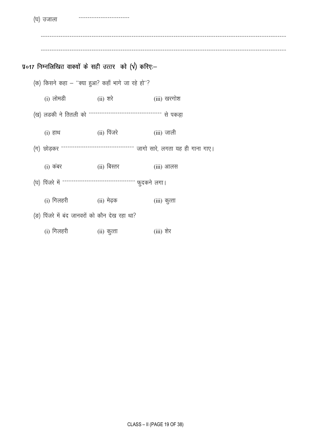(घ) उजाला

प्र०17 निम्नलिखित वाक्यों के सही उत्तर को  $(\sqrt{)}$  करिए:-

(क) किसने कहा - "क्या हुआ? कहाँ भागे जा रहे हो"? (i) लोमडी (ii) शरे (iii) खरगोश (ख) लडकी ने तितली को -------------------------------- से पकड़ा (ii) पिंजरे (iii) जाली  $(i)$  हाथ (ग) छोड़कर -------------------------------- जागो सारे, लगता यह ही गाना गाए। (ii) बिस्तर  $(i)$  कंबर (iii) आलस (घ) पिंजरे में -------------------------------- फुदकने लगा। (i) गिलहरी (ii) मेढ़क (iii) कुत्ता (ङ) पिंजरे में बंद जानवरों को कौन देख रहा था? (i) गिलहरी (ii) कुत्ता (iii) शेर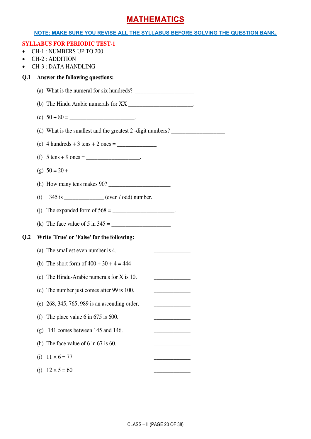## **MATHEMATICS**

#### **NOTE: MAKE SURE YOU REVISE ALL THE SYLLABUS BEFORE SOLVING THE QUESTION BANK.**

|                | <b>SYLLABUS FOR PERIODIC TEST-1</b><br><b>CH-1: NUMBERS UP TO 200</b><br>CH-2: ADDITION<br><b>CH-3: DATA HANDLING</b>                                                                                                                                                                                                                                                         |
|----------------|-------------------------------------------------------------------------------------------------------------------------------------------------------------------------------------------------------------------------------------------------------------------------------------------------------------------------------------------------------------------------------|
| Q <sub>1</sub> | Answer the following questions:                                                                                                                                                                                                                                                                                                                                               |
|                |                                                                                                                                                                                                                                                                                                                                                                               |
|                | (b) The Hindu Arabic numerals for XX ________________________.                                                                                                                                                                                                                                                                                                                |
|                |                                                                                                                                                                                                                                                                                                                                                                               |
|                | (d) What is the smallest and the greatest 2 -digit numbers? $\frac{1}{\sqrt{1-\frac{1}{\sqrt{1-\frac{1}{\sqrt{1-\frac{1}{\sqrt{1-\frac{1}{\sqrt{1-\frac{1}{\sqrt{1-\frac{1}{\sqrt{1-\frac{1}{\sqrt{1-\frac{1}{\sqrt{1-\frac{1}{\sqrt{1-\frac{1}{\sqrt{1-\frac{1}{\sqrt{1-\frac{1}{\sqrt{1-\frac{1}{\sqrt{1-\frac{1}{\sqrt{1-\frac{1}{\sqrt{1-\frac{1}{\sqrt{1-\frac{1}{\sqrt$ |
|                |                                                                                                                                                                                                                                                                                                                                                                               |
|                | (f) $5 \text{ tens} + 9 \text{ ones} =$ _____________________.                                                                                                                                                                                                                                                                                                                |
|                | (g) $50 = 20 +$                                                                                                                                                                                                                                                                                                                                                               |
|                |                                                                                                                                                                                                                                                                                                                                                                               |
|                | 345 is ______________ (even / odd) number.<br>(i)                                                                                                                                                                                                                                                                                                                             |
|                |                                                                                                                                                                                                                                                                                                                                                                               |
|                |                                                                                                                                                                                                                                                                                                                                                                               |
| Q <sub>2</sub> | Write 'True' or 'False' for the following:                                                                                                                                                                                                                                                                                                                                    |
|                | (a) The smallest even number is 4.                                                                                                                                                                                                                                                                                                                                            |
|                | (b) The short form of $400 + 30 + 4 = 444$                                                                                                                                                                                                                                                                                                                                    |
|                | (c) The Hindu-Arabic numerals for $X$ is 10.                                                                                                                                                                                                                                                                                                                                  |
|                | (d) The number just comes after 99 is 100.                                                                                                                                                                                                                                                                                                                                    |
|                | (e) 268, 345, 765, 989 is an ascending order.                                                                                                                                                                                                                                                                                                                                 |
|                | The place value 6 in $675$ is 600.<br>(f)                                                                                                                                                                                                                                                                                                                                     |
|                | 141 comes between 145 and 146.<br>(g)                                                                                                                                                                                                                                                                                                                                         |
|                | (h) The face value of $6 \text{ in } 67$ is $60$ .                                                                                                                                                                                                                                                                                                                            |
|                | $11 \times 6 = 77$<br>(i)                                                                                                                                                                                                                                                                                                                                                     |
|                | $12 \times 5 = 60$<br>(i)                                                                                                                                                                                                                                                                                                                                                     |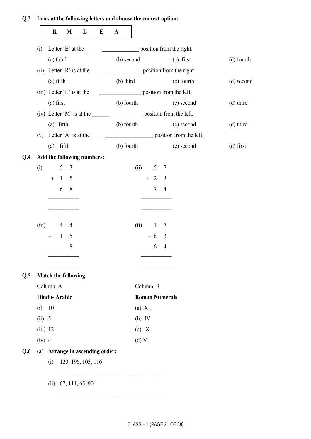## **Q.3 Look at the following letters and choose the correct option:**

|            | $\bf R$                         |                | M               | L                           | E | $\mathbf A$ |            |           |                       |                |                                                                       |             |
|------------|---------------------------------|----------------|-----------------|-----------------------------|---|-------------|------------|-----------|-----------------------|----------------|-----------------------------------------------------------------------|-------------|
| (i)        |                                 |                |                 |                             |   |             |            |           |                       |                |                                                                       |             |
|            | (a) third                       |                |                 |                             |   |             |            |           |                       |                | (b) second (c) first                                                  | (d) fourth  |
| (ii)       |                                 |                |                 |                             |   |             |            |           |                       |                |                                                                       |             |
|            | $(a)$ fifth                     |                |                 |                             |   | $(b)$ third |            |           |                       |                | (c) fourth                                                            | (d) second  |
|            |                                 |                |                 |                             |   |             |            |           |                       |                |                                                                       |             |
|            | $(a)$ first                     |                |                 |                             |   |             | (b) fourth |           |                       |                | (c) second                                                            | (d) third   |
|            |                                 |                |                 |                             |   |             |            |           |                       |                |                                                                       |             |
|            | $(a)$ fifth                     |                |                 |                             |   |             | (b) fourth |           |                       |                | (c) second                                                            | $(d)$ third |
|            |                                 |                |                 |                             |   |             |            |           |                       |                | (v) Letter 'A' is at the $\frac{1}{\sqrt{2}}$ position from the left. |             |
|            | $(a)$ fifth                     |                |                 |                             |   |             |            |           |                       |                | (b) fourth (c) second                                                 | $(d)$ first |
|            |                                 |                |                 | Add the following numbers:  |   |             |            |           |                       |                |                                                                       |             |
| (i)        |                                 | 5 <sup>5</sup> | 3               |                             |   |             |            | (ii)      | 5 <sup>5</sup>        | 7              |                                                                       |             |
|            | $+$                             | $\mathbf{1}$   | $5\overline{)}$ |                             |   |             |            | $+2$      |                       | 3              |                                                                       |             |
|            |                                 | 6              | 8               |                             |   |             |            |           | 7                     | $\overline{4}$ |                                                                       |             |
|            |                                 |                |                 |                             |   |             |            |           |                       |                |                                                                       |             |
| (iii)      |                                 | 4              | 4               |                             |   |             | (ii)       |           | $\mathbf{1}$          | 7              |                                                                       |             |
|            | $+$                             | $\mathbf{1}$   | 5               |                             |   |             |            |           | $+8$                  | 3              |                                                                       |             |
|            |                                 |                | 8               |                             |   |             |            |           | 6                     | $\overline{4}$ |                                                                       |             |
|            | Match the following:            |                |                 |                             |   |             |            |           |                       |                |                                                                       |             |
|            |                                 |                |                 |                             |   |             |            | Column B  |                       |                |                                                                       |             |
|            | Column A<br><b>Hindu-Arabic</b> |                |                 |                             |   |             |            |           | <b>Roman Numerals</b> |                |                                                                       |             |
| (i)        | 10                              |                |                 |                             |   |             |            | $(a)$ XII |                       |                |                                                                       |             |
| (ii) 5     |                                 |                |                 |                             |   |             | $(b)$ IV   |           |                       |                |                                                                       |             |
| $(iii)$ 12 |                                 |                |                 |                             |   |             | (c) X      |           |                       |                |                                                                       |             |
| $(iv)$ 4   |                                 |                |                 |                             |   |             | $(d)$ V    |           |                       |                |                                                                       |             |
| (a)        |                                 |                |                 | Arrange in ascending order: |   |             |            |           |                       |                |                                                                       |             |
|            | (i)                             |                |                 | 120, 196, 103, 116          |   |             |            |           |                       |                |                                                                       |             |
|            |                                 |                |                 |                             |   |             |            |           |                       |                |                                                                       |             |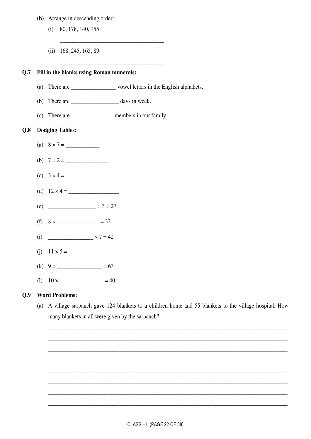### (b) Arrange in descending order:

- $(i)$  80, 178, 140, 155
- (ii)  $168, 245, 165, 89$

## Q.7 Fill in the blanks using Roman numerals:

- 
- 
- (c) There are \_\_\_\_\_\_\_\_\_\_\_\_\_\_\_\_\_\_\_\_\_\_ members in our family.

#### **Dodging Tables:**  $0.8$

- (c)  $3 \times 4 =$ (d)  $12 \times 4 =$ (e) \_\_\_\_\_\_\_\_\_\_\_\_\_\_\_  $\times 3 = 27$ (f)  $8 \times \_$  = 32 (i)  $\times 7 = 42$
- 
- (k)  $9 \times$  \_\_\_\_\_\_\_\_\_\_\_\_\_\_\_\_\_\_\_\_ = 63
- (1)  $10 \times$  \_\_\_\_\_\_\_\_\_\_\_\_\_\_\_\_\_\_\_ = 40

#### $0.9$ **Word Problems:**

(a) A village sarpanch gave 124 blankets to a children home and 55 blankets to the village hospital. How many blankets in all were given by the sarpanch?

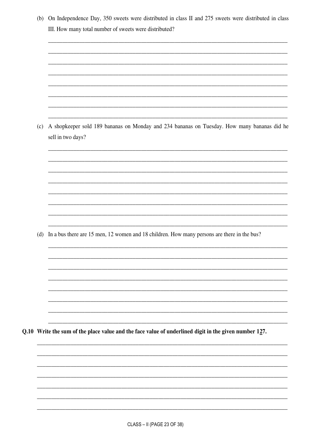|     | III. How many total number of sweets were distributed?                                                |
|-----|-------------------------------------------------------------------------------------------------------|
|     |                                                                                                       |
|     |                                                                                                       |
|     |                                                                                                       |
|     |                                                                                                       |
|     |                                                                                                       |
|     |                                                                                                       |
|     |                                                                                                       |
| (c) | A shopkeeper sold 189 bananas on Monday and 234 bananas on Tuesday. How many bananas did he           |
|     | sell in two days?                                                                                     |
|     |                                                                                                       |
|     |                                                                                                       |
|     |                                                                                                       |
|     |                                                                                                       |
|     |                                                                                                       |
|     |                                                                                                       |
|     |                                                                                                       |
|     | (d) In a bus there are 15 men, 12 women and 18 children. How many persons are there in the bus?       |
|     |                                                                                                       |
|     |                                                                                                       |
|     |                                                                                                       |
|     |                                                                                                       |
|     |                                                                                                       |
|     |                                                                                                       |
|     |                                                                                                       |
|     | Q.10 Write the sum of the place value and the face value of underlined digit in the given number 127. |
|     |                                                                                                       |
|     |                                                                                                       |
|     |                                                                                                       |
|     |                                                                                                       |
|     |                                                                                                       |
|     |                                                                                                       |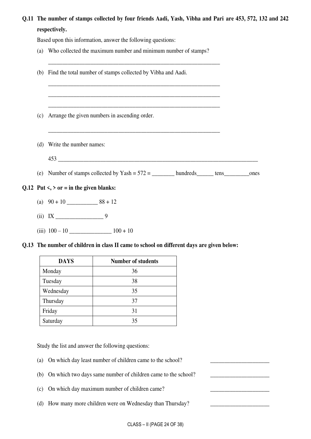**Q.11 The number of stamps collected by four friends Aadi, Yash, Vibha and Pari are 453, 572, 132 and 242 respectively.** 

Based upon this information, answer the following questions:

- (a) Who collected the maximum number and minimum number of stamps?
- \_\_\_\_\_\_\_\_\_\_\_\_\_\_\_\_\_\_\_\_\_\_\_\_\_\_\_\_\_\_\_\_\_\_\_\_\_\_\_\_\_\_\_\_\_\_\_\_\_\_\_\_\_\_\_\_\_\_\_\_\_ (b) Find the total number of stamps collected by Vibha and Aadi. \_\_\_\_\_\_\_\_\_\_\_\_\_\_\_\_\_\_\_\_\_\_\_\_\_\_\_\_\_\_\_\_\_\_\_\_\_\_\_\_\_\_\_\_\_\_\_\_\_\_\_\_\_\_\_\_\_\_\_\_\_ \_\_\_\_\_\_\_\_\_\_\_\_\_\_\_\_\_\_\_\_\_\_\_\_\_\_\_\_\_\_\_\_\_\_\_\_\_\_\_\_\_\_\_\_\_\_\_\_\_\_\_\_\_\_\_\_\_\_\_\_\_ \_\_\_\_\_\_\_\_\_\_\_\_\_\_\_\_\_\_\_\_\_\_\_\_\_\_\_\_\_\_\_\_\_\_\_\_\_\_\_\_\_\_\_\_\_\_\_\_\_\_\_\_\_\_\_\_\_\_\_\_\_ (c) Arrange the given numbers in ascending order. \_\_\_\_\_\_\_\_\_\_\_\_\_\_\_\_\_\_\_\_\_\_\_\_\_\_\_\_\_\_\_\_\_\_\_\_\_\_\_\_\_\_\_\_\_\_\_\_\_\_\_\_\_\_\_\_\_\_\_\_\_ (d) Write the number names: 453 \_\_\_\_\_\_\_\_\_\_\_\_\_\_\_\_\_\_\_\_\_\_\_\_\_\_\_\_\_\_\_\_\_\_\_\_\_\_\_\_\_\_\_\_\_\_\_\_\_\_\_\_\_\_\_\_\_\_\_\_\_\_\_\_\_\_\_\_\_\_\_ (e) Number of stamps collected by  $Yash = 572 =$  hundreds tens ones Q.12 Put  $\langle \cdot, \cdot \rangle$  or = in the given blanks: (a) 90 + 10 \_\_\_\_\_\_\_\_\_\_\_ 88 + 12
	- $(iii)$  IX 9
	- (iii) 100 10 \_\_\_\_\_\_\_\_\_\_\_\_\_\_\_ 100 + 10
- **Q.13 The number of children in class II came to school on different days are given below:**

| <b>DAYS</b> | <b>Number of students</b> |
|-------------|---------------------------|
| Monday      | 36                        |
| Tuesday     | 38                        |
| Wednesday   | 35                        |
| Thursday    | 37                        |
| Friday      | 31                        |
| Saturday    | 35                        |

Study the list and answer the following questions:

- (a) On which day least number of children came to the school?
- (b) On which two days same number of children came to the school?
- (c) On which day maximum number of children came?
- (d) How many more children were on Wednesday than Thursday?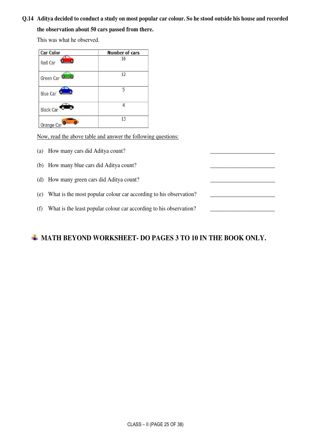## **Q.14 Aditya decided to conduct a study on most popular car colour. So he stood outside his house and recorded the observation about 50 cars passed from there.**

This was what he observed.

| <b>Car Color</b>        | <b>Number of cars</b> |
|-------------------------|-----------------------|
| <b>Red Car</b>          | 16                    |
| Green Car <sup>C</sup>  | 12                    |
| Blue Car                | 5.                    |
| <b>Black Car</b>        |                       |
| Orange Car <sup>o</sup> | 13                    |

Now, read the above table and answer the following questions:

- (a) How many cars did Aditya count?
- (b) How many blue cars did Aditya count?
- (d) How many green cars did Aditya count?
- (e) What is the most popular colour car according to his observation? \_\_\_\_\_\_\_\_\_\_\_\_\_\_\_\_\_\_\_\_\_\_\_
- (f) What is the least popular colour car according to his observation?

## $\div$  **MATH BEYOND WORKSHEET- DO PAGES 3 TO 10 IN THE BOOK ONLY.**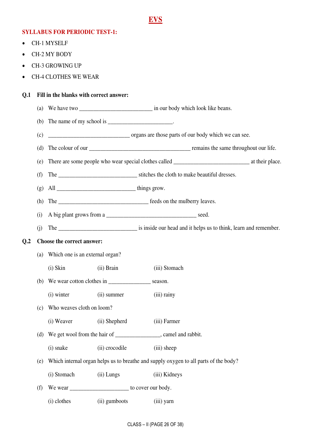## **EVS**

## **SYLLABUS FOR PERIODIC TEST-1:**

- CH-1 MYSELF
- CH-2 MY BODY
- CH-3 GROWING UP
- CH-4 CLOTHES WE WEAR

### **Q.1 Fill in the blanks with correct answer:**

- (a) We have two \_\_\_\_\_\_\_\_\_\_\_\_\_\_\_\_\_\_\_\_\_\_\_\_\_\_\_\_\_\_\_\_\_ in our body which look like beans.
- (b) The name of my school is  $\blacksquare$
- (c) \_\_\_\_\_\_\_\_\_\_\_\_\_\_\_\_\_\_\_\_\_\_\_\_\_\_\_\_\_ organs are those parts of our body which we can see.
- (d) The colour of our \_\_\_\_\_\_\_\_\_\_\_\_\_\_\_\_\_\_\_\_\_\_\_\_\_\_\_\_\_\_\_\_\_\_\_\_ remains the same throughout our life.
- (e) There are some people who wear special clothes called \_\_\_\_\_\_\_\_\_\_\_\_\_\_\_\_\_\_\_\_\_\_\_\_\_\_\_ at their place.
- (f) The stitches the cloth to make beautiful dresses.
- (g) All \_\_\_\_\_\_\_\_\_\_\_\_\_\_\_\_\_\_\_\_\_\_\_\_\_\_\_\_ things grow.
- (h) The \_\_\_\_\_\_\_\_\_\_\_\_\_\_\_\_\_\_\_\_\_\_\_\_\_\_\_\_\_\_\_\_ feeds on the mulberry leaves.
- (i) A big plant grows from a  $\Box$
- (i) The is inside our head and it helps us to think, learn and remember.

#### **Q.2 Choose the correct answer:**

- (a) Which one is an external organ?
- (i) Skin (ii) Brain (iii) Stomach
- (b) We wear cotton clothes in \_\_\_\_\_\_\_\_\_\_\_\_\_\_\_ season.
- (i) winter (ii) summer (iii) rainy
- (c) Who weaves cloth on loom?
	- (i) Weaver (ii) Shepherd (iii) Farmer
- (d) We get wool from the hair of \_\_\_\_\_\_\_\_\_\_\_\_\_\_\_, camel and rabbit.
	- (i) snake (ii) crocodile (iii) sheep
- (e) Which internal organ helps us to breathe and supply oxygen to all parts of the body?
	- (i) Stomach (ii) Lungs (iii) Kidneys
- (f) We wear  $\frac{1}{\sqrt{2}}$  we wear  $\frac{1}{\sqrt{2}}$  to cover our body.
	- (i) clothes (ii) gumboots (iii) yarn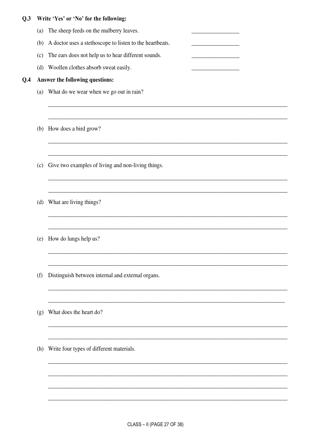## Q.3 Write 'Yes' or 'No' for the following:

- (a) The sheep feeds on the mulberry leaves.
- (b) A doctor uses a stethoscope to listen to the heartbeats.
- (c) The ears does not help us to hear different sounds.
- (d) Woollen clothes absorb sweat easily.

#### Answer the following questions:  $Q.4$

- (a) What do we wear when we go out in rain?
- (b) How does a bird grow?
- (c) Give two examples of living and non-living things.
- (d) What are living things?
- (e) How do lungs help us?
- (f) Distinguish between internal and external organs.
- (g) What does the heart do?
- (h) Write four types of different materials.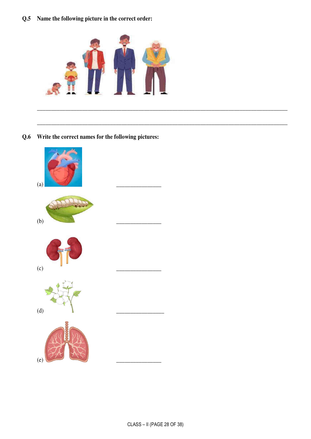Q.5 Name the following picture in the correct order:



Q.6 Write the correct names for the following pictures:

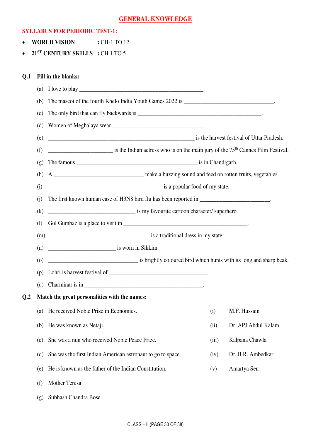## **GENERAL KNOWLEDGE**

#### **SYLLABUS FOR PERIODIC TEST-1:**

- **WORLD VISION** : CH-1 TO 12
- **21ST CENTURY SKILLS :** CH 1 TO 5

### **Q.1 Fill in the blanks:**

|     | (a)        | I love to play                                                                                            |       |                     |
|-----|------------|-----------------------------------------------------------------------------------------------------------|-------|---------------------|
|     | (b)        |                                                                                                           |       |                     |
|     | (c)        |                                                                                                           |       |                     |
|     | (d)        |                                                                                                           |       |                     |
|     | (e)        | is the harvest festival of Uttar Pradesh.                                                                 |       |                     |
|     | (f)        | $\frac{1}{2}$ is the Indian actress who is on the main jury of the 75 <sup>th</sup> Cannes Film Festival. |       |                     |
|     | (g)        |                                                                                                           |       |                     |
|     | (h)        |                                                                                                           |       |                     |
|     | (i)        | is a popular food of my state.                                                                            |       |                     |
|     | (i)        | The first known human case of H3N8 bird flu has been reported in _________________________.               |       |                     |
|     | (k)        | is my favourite cartoon character/ superhero.                                                             |       |                     |
|     | $\left($ l |                                                                                                           |       |                     |
|     |            |                                                                                                           |       |                     |
|     | (n)        | $\frac{1}{2}$ is worn in Sikkim.                                                                          |       |                     |
|     | $\circ$    | is brightly coloured bird which hunts with its long and sharp beak.                                       |       |                     |
|     | (p)        |                                                                                                           |       |                     |
|     | (q)        |                                                                                                           |       |                     |
| 0.2 |            | Match the great personalities with the names:                                                             |       |                     |
|     | (a)        | He received Noble Prize in Economics.                                                                     | (i)   | M.F. Hussain        |
|     | (b)        | He was known as Netaji.                                                                                   | (ii)  | Dr. APJ Abdul Kalam |
|     | (c)        | She was a nun who received Noble Peace Prize.                                                             | (iii) | Kalpana Chawla      |
|     | (d)        | She was the first Indian American astronaut to go to space.                                               | (iv)  | Dr. B.R. Ambedkar   |
|     | (e)        | He is known as the father of the Indian Constitution.                                                     | (v)   | Amartya Sen         |
|     | (f)        | Mother Teresa                                                                                             |       |                     |
|     | (g)        | Subhash Chandra Bose                                                                                      |       |                     |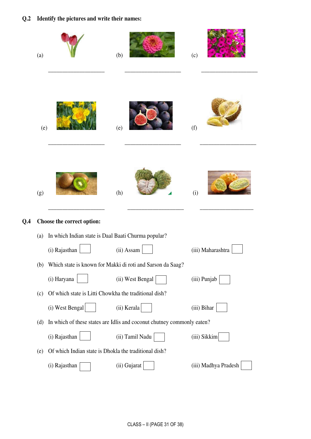## **Q.2 Identify the pictures and write their names:**

|     | (a) |                                                       | (b)                                                                    | (c)                  |
|-----|-----|-------------------------------------------------------|------------------------------------------------------------------------|----------------------|
|     | (e) |                                                       | (e)                                                                    | (f)                  |
|     | (g) |                                                       | (h)                                                                    | (i)                  |
| Q.4 |     | Choose the correct option:                            |                                                                        |                      |
|     | (a) | In which Indian state is Daal Baati Churma popular?   |                                                                        |                      |
|     |     | (i) Rajasthan                                         | (ii) Assam                                                             | (iii) Maharashtra    |
|     | (b) |                                                       | Which state is known for Makki di roti and Sarson da Saag?             |                      |
|     |     | (i) Haryana                                           | (ii) West Bengal                                                       | (iii) Punjab         |
|     | (c) | Of which state is Litti Chowkha the traditional dish? |                                                                        |                      |
|     |     | (i) West Bengal                                       | (ii) Kerala                                                            | (iii) Bihar          |
|     | (d) |                                                       | In which of these states are Idlis and coconut chutney commonly eaten? |                      |
|     |     | (i) Rajasthan                                         | (ii) Tamil Nadu                                                        | (iii) Sikkim         |
|     | (e) | Of which Indian state is Dhokla the traditional dish? |                                                                        |                      |
|     |     | (i) Rajasthan                                         | (ii) Gujarat                                                           | (iii) Madhya Pradesh |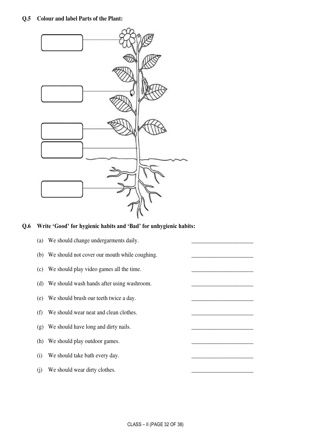

## **Q.6 Write 'Good' for hygienic habits and 'Bad' for unhygienic habits:**

| (b) We should not cover our mouth while coughing.<br>We should play video games all the time.<br>(c)<br>We should wash hands after using washroom.<br>(d)<br>We should brush our teeth twice a day.<br>(e)<br>We should wear neat and clean clothes.<br>(f)<br>We should have long and dirty nails.<br>(g)<br>We should play outdoor games.<br>(h) | (a) | We should change undergarments daily. |  |
|----------------------------------------------------------------------------------------------------------------------------------------------------------------------------------------------------------------------------------------------------------------------------------------------------------------------------------------------------|-----|---------------------------------------|--|
|                                                                                                                                                                                                                                                                                                                                                    |     |                                       |  |
|                                                                                                                                                                                                                                                                                                                                                    |     |                                       |  |
|                                                                                                                                                                                                                                                                                                                                                    |     |                                       |  |
|                                                                                                                                                                                                                                                                                                                                                    |     |                                       |  |
|                                                                                                                                                                                                                                                                                                                                                    |     |                                       |  |
|                                                                                                                                                                                                                                                                                                                                                    |     |                                       |  |
|                                                                                                                                                                                                                                                                                                                                                    |     |                                       |  |
|                                                                                                                                                                                                                                                                                                                                                    | (i) | We should take bath every day.        |  |
| We should wear dirty clothes.<br>(i)                                                                                                                                                                                                                                                                                                               |     |                                       |  |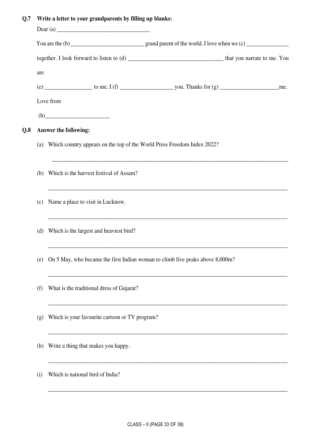## **Q.7 Write a letter to your grandparents by filling up blanks:**

|     | are |                                                                                                     |
|-----|-----|-----------------------------------------------------------------------------------------------------|
|     |     |                                                                                                     |
|     |     | Love from                                                                                           |
|     |     | $(h)$ and $\overline{\phantom{iiiiiiiiiiiiiiiiiiiiiiiiiiiiiiiiiiiiiiii}}$                           |
| Q.8 |     | Answer the following:                                                                               |
|     |     | (a) Which country appears on the top of the World Press Freedom Index 2022?                         |
|     |     | (b) Which is the harvest festival of Assam?                                                         |
|     |     | <u> 1989 - Johann Stoff, amerikansk politiker (* 1908)</u><br>(c) Name a place to visit in Lucknow. |
|     |     | (d) Which is the largest and heaviest bird?                                                         |
|     | (e) | On 5 May, who became the first Indian woman to climb five peaks above 8,000m?                       |
|     | (f) | What is the traditional dress of Gujarat?                                                           |
|     | (g) | Which is your favourite cartoon or TV program?                                                      |
|     | (h) | Write a thing that makes you happy.                                                                 |
|     | (i) | Which is national bird of India?                                                                    |
|     |     |                                                                                                     |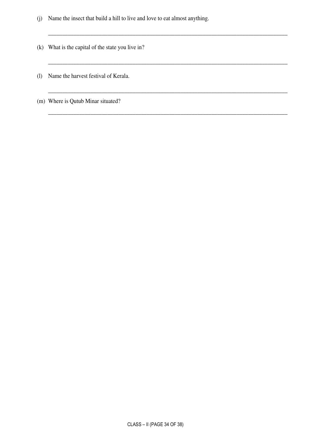(j) Name the insect that build a hill to live and love to eat almost anything.

\_\_\_\_\_\_\_\_\_\_\_\_\_\_\_\_\_\_\_\_\_\_\_\_\_\_\_\_\_\_\_\_\_\_\_\_\_\_\_\_\_\_\_\_\_\_\_\_\_\_\_\_\_\_\_\_\_\_\_\_\_\_\_\_\_\_\_\_\_\_\_\_\_\_\_\_\_\_\_\_\_\_\_\_\_

\_\_\_\_\_\_\_\_\_\_\_\_\_\_\_\_\_\_\_\_\_\_\_\_\_\_\_\_\_\_\_\_\_\_\_\_\_\_\_\_\_\_\_\_\_\_\_\_\_\_\_\_\_\_\_\_\_\_\_\_\_\_\_\_\_\_\_\_\_\_\_\_\_\_\_\_\_\_\_\_\_\_\_\_\_

\_\_\_\_\_\_\_\_\_\_\_\_\_\_\_\_\_\_\_\_\_\_\_\_\_\_\_\_\_\_\_\_\_\_\_\_\_\_\_\_\_\_\_\_\_\_\_\_\_\_\_\_\_\_\_\_\_\_\_\_\_\_\_\_\_\_\_\_\_\_\_\_\_\_\_\_\_\_\_\_\_\_\_\_\_

\_\_\_\_\_\_\_\_\_\_\_\_\_\_\_\_\_\_\_\_\_\_\_\_\_\_\_\_\_\_\_\_\_\_\_\_\_\_\_\_\_\_\_\_\_\_\_\_\_\_\_\_\_\_\_\_\_\_\_\_\_\_\_\_\_\_\_\_\_\_\_\_\_\_\_\_\_\_\_\_\_\_\_\_\_

- (k) What is the capital of the state you live in?
- (l) Name the harvest festival of Kerala.
- (m) Where is Qutub Minar situated?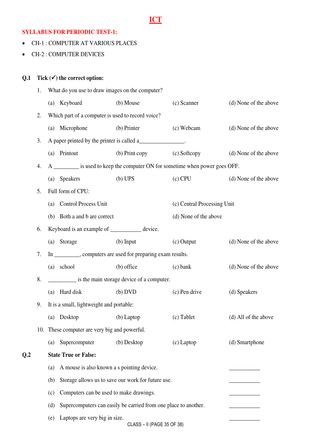## **ICT**

## **SYLLABUS FOR PERIODIC TEST-1:**

- CH-1 : COMPUTER AT VARIOUS PLACES
- CH-2 : COMPUTER DEVICES

## Q.1 Tick  $(\checkmark)$  the correct option:

 $Q.2$ 

|     | 1. |     | What do you use to draw images on the computer?   |                                                                 |                                                                                |                       |
|-----|----|-----|---------------------------------------------------|-----------------------------------------------------------------|--------------------------------------------------------------------------------|-----------------------|
|     |    |     | (a) Keyboard                                      | (b) Mouse                                                       | (c) Scanner                                                                    | (d) None of the above |
|     | 2. |     | Which part of a computer is used to record voice? |                                                                 |                                                                                |                       |
|     |    | (a) | Microphone                                        | (b) Printer                                                     | (c) Webcam                                                                     | (d) None of the above |
|     | 3. |     |                                                   | A paper printed by the printer is called a                      |                                                                                |                       |
|     |    | (a) | Printout                                          | (b) Print copy                                                  | (c) Softcopy                                                                   | (d) None of the above |
|     | 4. |     |                                                   |                                                                 | A __________ is used to keep the computer ON for sometime when power goes OFF. |                       |
|     |    | (a) | <b>Speakers</b>                                   | (b) UPS                                                         | $(c)$ CPU                                                                      | (d) None of the above |
|     | 5. |     | Full form of CPU:                                 |                                                                 |                                                                                |                       |
|     |    | (a) | Control Process Unit                              |                                                                 | (c) Central Processing Unit                                                    |                       |
|     |    | (b) | Both a and b are correct                          |                                                                 | (d) None of the above                                                          |                       |
|     | 6. |     | Keyboard is an example of __________ device.      |                                                                 |                                                                                |                       |
|     |    |     | (a) Storage                                       | $(b)$ Input                                                     | $(c)$ Output                                                                   | (d) None of the above |
|     | 7. |     |                                                   | In _________, computers are used for preparing exam results.    |                                                                                |                       |
|     |    | (a) | school                                            | (b) office                                                      | $(c)$ bank                                                                     | (d) None of the above |
|     | 8. |     |                                                   | is the main storage device of a computer.                       |                                                                                |                       |
|     |    | (a) | Hard disk                                         | (b) DVD                                                         | (c) Pen drive                                                                  | (d) Speakers          |
|     | 9. |     | It is a small, lightweight and portable:          |                                                                 |                                                                                |                       |
|     |    |     | (a) Desktop (b) Laptop                            |                                                                 | (c) Tablet                                                                     | (d) All of the above  |
|     |    |     | 10. These computer are very big and powerful.     |                                                                 |                                                                                |                       |
|     |    | (a) | Supercomputer                                     | (b) Desktop                                                     | $(c)$ Laptop                                                                   | (d) Smartphone        |
| Q.2 |    |     | <b>State True or False:</b>                       |                                                                 |                                                                                |                       |
|     |    | (a) | A mouse is also known a s pointing device.        |                                                                 |                                                                                |                       |
|     |    | (b) |                                                   | Storage allows us to save our work for future use.              |                                                                                |                       |
|     |    | (c) | Computers can be used to make drawings.           |                                                                 |                                                                                |                       |
|     |    | (d) |                                                   | Supercomputers can easily be carried from one place to another. |                                                                                |                       |
|     |    | (e) | Laptops are very big in size.                     | CLASS - II (PAGE 35 OF 38)                                      |                                                                                |                       |
|     |    |     |                                                   |                                                                 |                                                                                |                       |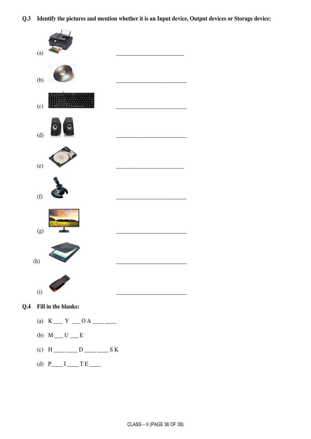**Q.3 Identify the pictures and mention whether it is an Input device, Output devices or Storage device:** 



- (a)  $K = Y = 0 A$
- (b)  $M \_ U \_ E$
- (c)  $H$ <sub>----</sub>  $D$ <sub>---</sub>  $S K$
- (d)  $P_{---} I_{---} T E_{---}$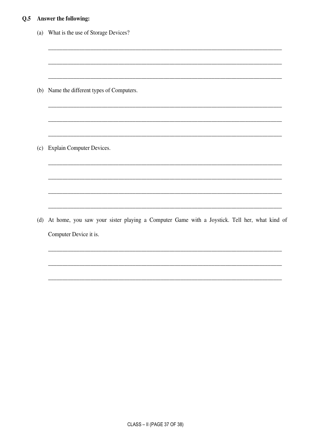## Q.5 Answer the following:

| (a) | What is the use of Storage Devices?                                                          |
|-----|----------------------------------------------------------------------------------------------|
|     |                                                                                              |
|     | (b) Name the different types of Computers.                                                   |
|     |                                                                                              |
|     |                                                                                              |
| (c) | <b>Explain Computer Devices.</b>                                                             |
|     |                                                                                              |
|     |                                                                                              |
| (d) | At home, you saw your sister playing a Computer Game with a Joystick. Tell her, what kind of |
|     | Computer Device it is.                                                                       |